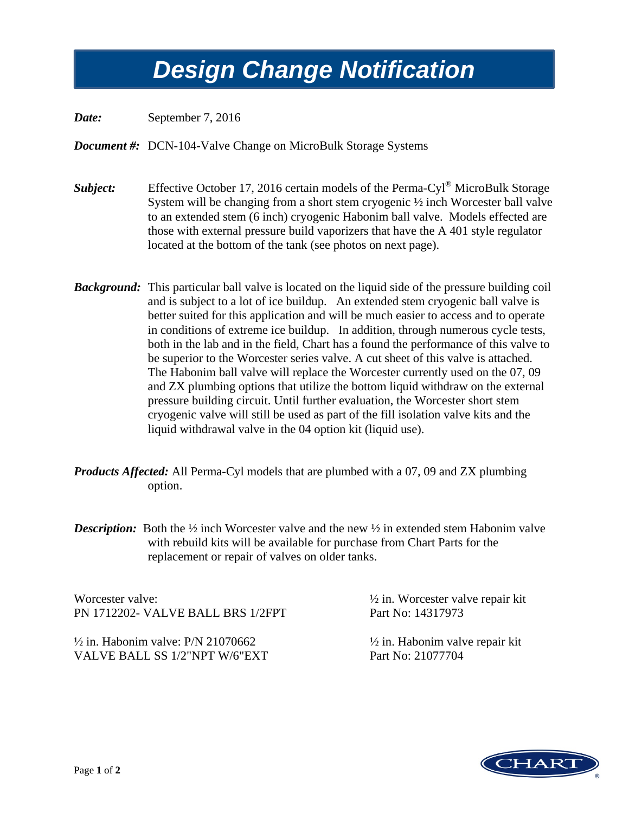# *Design Change Notification Design Change Notification*

*Date:* September 7, 2016

*Document #:* DCN-104-Valve Change on MicroBulk Storage Systems

- *Subject:* Effective October 17, 2016 certain models of the Perma-Cyl<sup>®</sup> MicroBulk Storage System will be changing from a short stem cryogenic ½ inch Worcester ball valve to an extended stem (6 inch) cryogenic Habonim ball valve. Models effected are those with external pressure build vaporizers that have the A 401 style regulator located at the bottom of the tank (see photos on next page).
- *Background:* This particular ball valve is located on the liquid side of the pressure building coil and is subject to a lot of ice buildup. An extended stem cryogenic ball valve is better suited for this application and will be much easier to access and to operate in conditions of extreme ice buildup. In addition, through numerous cycle tests, both in the lab and in the field, Chart has a found the performance of this valve to be superior to the Worcester series valve. A cut sheet of this valve is attached. The Habonim ball valve will replace the Worcester currently used on the 07, 09 and ZX plumbing options that utilize the bottom liquid withdraw on the external pressure building circuit. Until further evaluation, the Worcester short stem cryogenic valve will still be used as part of the fill isolation valve kits and the liquid withdrawal valve in the 04 option kit (liquid use).
- *Products Affected:* All Perma-Cyl models that are plumbed with a 07, 09 and ZX plumbing option.
- *Description:* Both the <sup>1</sup>/<sub>2</sub> inch Worcester valve and the new <sup>1</sup>/<sub>2</sub> in extended stem Habonim valve with rebuild kits will be available for purchase from Chart Parts for the replacement or repair of valves on older tanks.

Worcester valve:  $\frac{1}{2}$  in. Worcester valve repair kit PN 1712202- VALVE BALL BRS 1/2FPT Part No: 14317973

 $\frac{1}{2}$  in. Habonim valve: P/N 21070662  $\frac{1}{2}$  in. Habonim valve repair kit VALVE BALL SS 1/2"NPT W/6"EXT Part No: 21077704

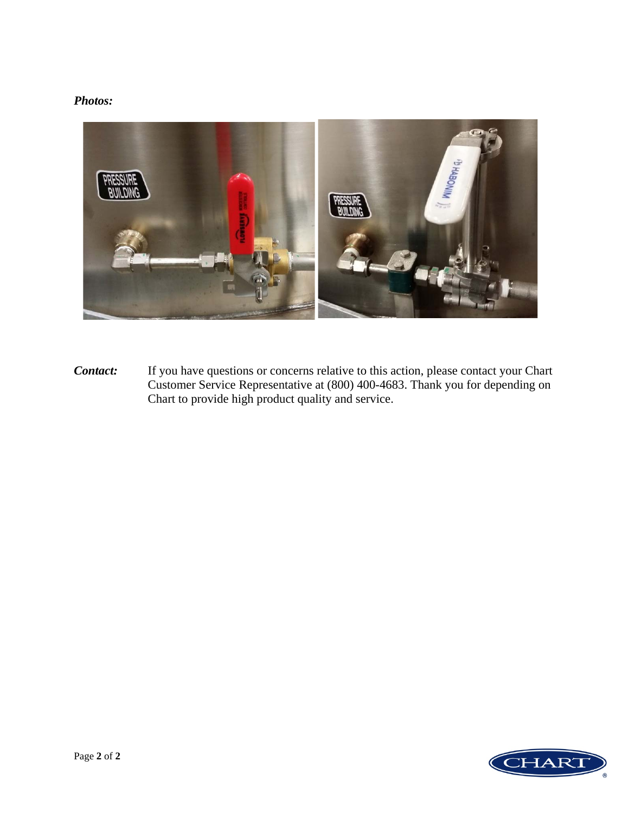## *Photos:*



*Contact:* If you have questions or concerns relative to this action, please contact your Chart Customer Service Representative at (800) 400-4683. Thank you for depending on Chart to provide high product quality and service.

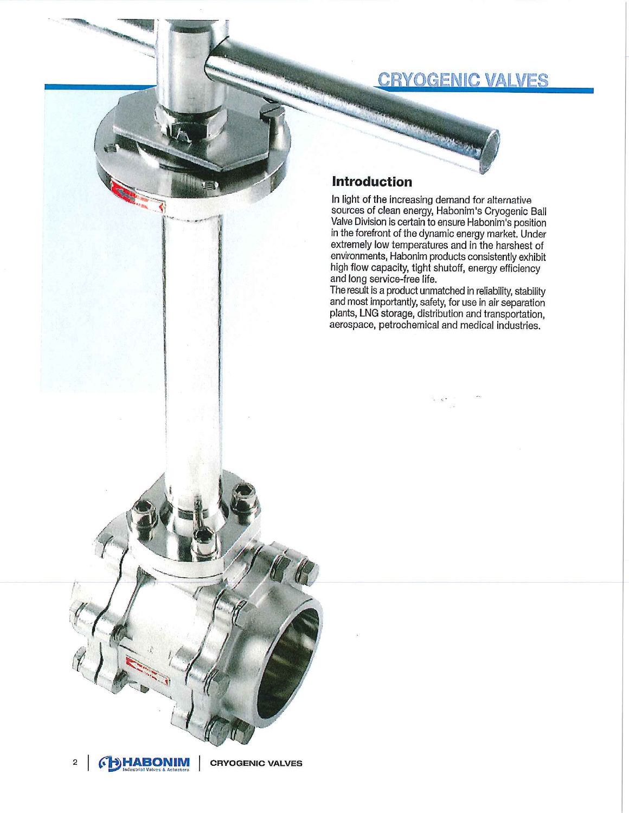## **CRYOGENIC VALVES**



## **Introduction**

In light of the increasing demand for alternative sources of clean energy, Habonim's Cryogenic Ball Valve Division is certain to ensure Habonim's position<br>in the forefront of the dynamic energy market. Under extremely low temperatures and in the harshest of environments, Habonim products consistently exhibit high flow capacity, tight shutoff, energy efficiency and long service-free life.

The result is a product unmatched in reliability, stability and most importantly, safety, for use in air separation plants, LNG storage, distribution and transportation, aerospace, petrochemical and medical industries.



**CRYOGENIC VALVES**